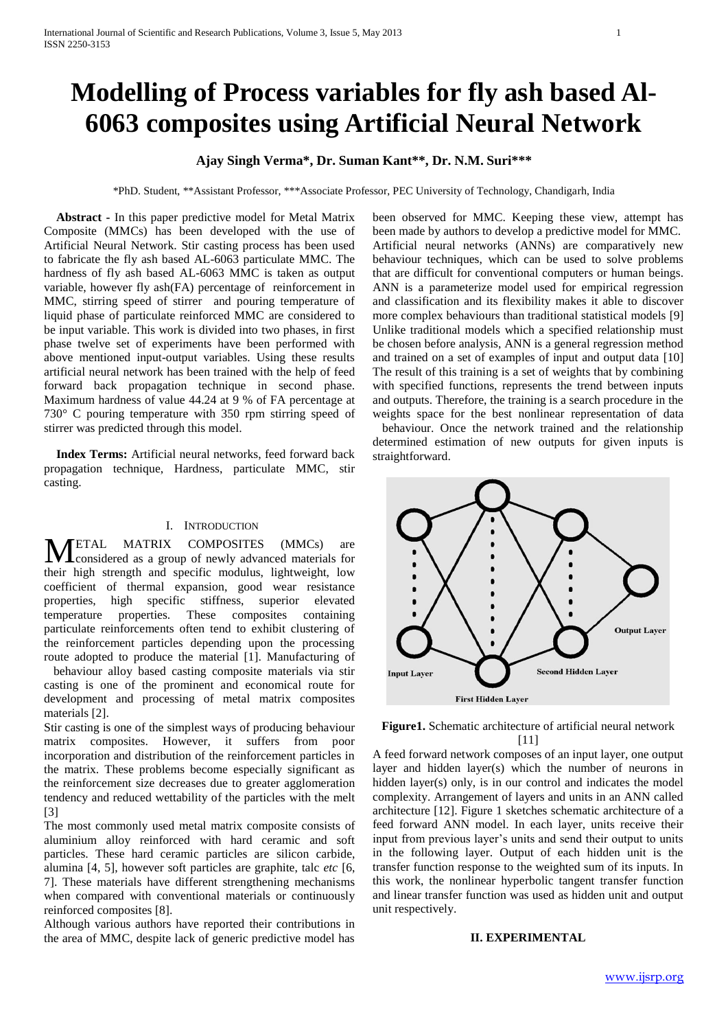# **Modelling of Process variables for fly ash based Al-6063 composites using Artificial Neural Network**

## **Ajay Singh Verma\*, Dr. Suman Kant\*\*, Dr. N.M. Suri\*\*\***

\*PhD. Student, \*\*Assistant Professor, \*\*\*Associate Professor, PEC University of Technology, Chandigarh, India

 **Abstract -** In this paper predictive model for Metal Matrix Composite (MMCs) has been developed with the use of Artificial Neural Network. Stir casting process has been used to fabricate the fly ash based AL-6063 particulate MMC. The hardness of fly ash based AL-6063 MMC is taken as output variable, however fly ash(FA) percentage of reinforcement in MMC, stirring speed of stirrer and pouring temperature of liquid phase of particulate reinforced MMC are considered to be input variable. This work is divided into two phases, in first phase twelve set of experiments have been performed with above mentioned input-output variables. Using these results artificial neural network has been trained with the help of feed forward back propagation technique in second phase. Maximum hardness of value 44.24 at 9 % of FA percentage at 730° C pouring temperature with 350 rpm stirring speed of stirrer was predicted through this model.

 **Index Terms:** Artificial neural networks, feed forward back propagation technique, Hardness, particulate MMC, stir casting.

### I. INTRODUCTION

ETAL MATRIX COMPOSITES (MMCs) are considered as a group of newly advanced materials for their high strength and specific modulus, lightweight, low coefficient of thermal expansion, good wear resistance properties, high specific stiffness, superior elevated temperature properties. These composites containing particulate reinforcements often tend to exhibit clustering of the reinforcement particles depending upon the processing route adopted to produce the material [1]. Manufacturing of M

behaviour alloy based casting composite materials via stir casting is one of the prominent and economical route for development and processing of metal matrix composites materials [2].

Stir casting is one of the simplest ways of producing behaviour matrix composites. However, it suffers from poor incorporation and distribution of the reinforcement particles in the matrix. These problems become especially significant as the reinforcement size decreases due to greater agglomeration tendency and reduced wettability of the particles with the melt [3]

The most commonly used metal matrix composite consists of aluminium alloy reinforced with hard ceramic and soft particles. These hard ceramic particles are silicon carbide, alumina [4, 5], however soft particles are graphite, talc *etc* [6, 7]. These materials have different strengthening mechanisms when compared with conventional materials or continuously reinforced composites [8].

Although various authors have reported their contributions in the area of MMC, despite lack of generic predictive model has been observed for MMC. Keeping these view, attempt has been made by authors to develop a predictive model for MMC. Artificial neural networks (ANNs) are comparatively new behaviour techniques, which can be used to solve problems that are difficult for conventional computers or human beings. ANN is a parameterize model used for empirical regression and classification and its flexibility makes it able to discover more complex behaviours than traditional statistical models [9] Unlike traditional models which a specified relationship must be chosen before analysis, ANN is a general regression method and trained on a set of examples of input and output data [10] The result of this training is a set of weights that by combining with specified functions, represents the trend between inputs and outputs. Therefore, the training is a search procedure in the weights space for the best nonlinear representation of data behaviour. Once the network trained and the relationship

determined estimation of new outputs for given inputs is straightforward.



**Figure1.** Schematic architecture of artificial neural network [11]

A feed forward network composes of an input layer, one output layer and hidden layer(s) which the number of neurons in hidden layer(s) only, is in our control and indicates the model complexity. Arrangement of layers and units in an ANN called architecture [12]. Figure 1 sketches schematic architecture of a feed forward ANN model. In each layer, units receive their input from previous layer's units and send their output to units in the following layer. Output of each hidden unit is the transfer function response to the weighted sum of its inputs. In this work, the nonlinear hyperbolic tangent transfer function and linear transfer function was used as hidden unit and output unit respectively.

#### **II. EXPERIMENTAL**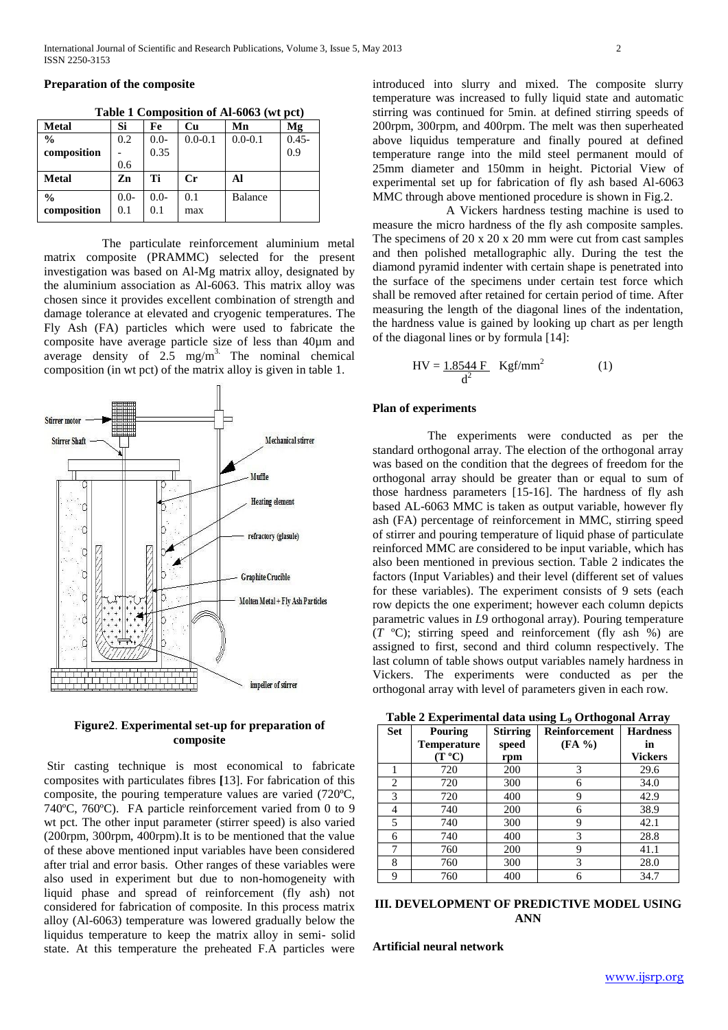**Preparation of the composite**

| <b>Metal</b>  | Si     | Fe     | <b>Cu</b>   | Mn             | Mg       |
|---------------|--------|--------|-------------|----------------|----------|
| $\frac{0}{0}$ | 0.2    | $0.0-$ | $0.0 - 0.1$ | $0.0 - 0.1$    | $0.45 -$ |
| composition   |        | 0.35   |             |                | 0.9      |
|               | 0.6    |        |             |                |          |
| <b>Metal</b>  | Zn     | Ti     | $_{\rm Cr}$ | Al             |          |
| $\frac{0}{0}$ | $0.0-$ | $0.0-$ | 0.1         | <b>Balance</b> |          |
| composition   | 0.1    | 0.1    | max         |                |          |

**Table 1 Composition of Al-6063 (wt pct)**

 The particulate reinforcement aluminium metal matrix composite (PRAMMC) selected for the present investigation was based on Al-Mg matrix alloy, designated by the aluminium association as Al-6063. This matrix alloy was chosen since it provides excellent combination of strength and damage tolerance at elevated and cryogenic temperatures. The Fly Ash (FA) particles which were used to fabricate the composite have average particle size of less than 40µm and average density of  $2.5 \text{ mg/m}^3$ . The nominal chemical composition (in wt pct) of the matrix alloy is given in table 1.



**Figure2**. **Experimental set-up for preparation of composite**

Stir casting technique is most economical to fabricate composites with particulates fibres **[**13]. For fabrication of this composite, the pouring temperature values are varied (720ºC, 740ºC, 760ºC). FA particle reinforcement varied from 0 to 9 wt pct. The other input parameter (stirrer speed) is also varied (200rpm, 300rpm, 400rpm).It is to be mentioned that the value of these above mentioned input variables have been considered after trial and error basis. Other ranges of these variables were also used in experiment but due to non-homogeneity with liquid phase and spread of reinforcement (fly ash) not considered for fabrication of composite. In this process matrix alloy (Al-6063) temperature was lowered gradually below the liquidus temperature to keep the matrix alloy in semi- solid state. At this temperature the preheated F.A particles were

introduced into slurry and mixed. The composite slurry temperature was increased to fully liquid state and automatic stirring was continued for 5min. at defined stirring speeds of 200rpm, 300rpm, and 400rpm. The melt was then superheated above liquidus temperature and finally poured at defined temperature range into the mild steel permanent mould of 25mm diameter and 150mm in height. Pictorial View of experimental set up for fabrication of fly ash based Al-6063 MMC through above mentioned procedure is shown in Fig.2.

 A Vickers hardness testing machine is used to measure the micro hardness of the fly ash composite samples. The specimens of 20 x 20 x 20 mm were cut from cast samples and then polished metallographic ally. During the test the diamond pyramid indenter with certain shape is penetrated into the surface of the specimens under certain test force which shall be removed after retained for certain period of time. After measuring the length of the diagonal lines of the indentation, the hardness value is gained by looking up chart as per length of the diagonal lines or by formula [14]:

$$
HV = \frac{1.8544 \text{ F}}{d^2} \quad \text{Kgf/mm}^2 \tag{1}
$$

#### **Plan of experiments**

 The experiments were conducted as per the standard orthogonal array. The election of the orthogonal array was based on the condition that the degrees of freedom for the orthogonal array should be greater than or equal to sum of those hardness parameters [15-16]. The hardness of fly ash based AL-6063 MMC is taken as output variable, however fly ash (FA) percentage of reinforcement in MMC, stirring speed of stirrer and pouring temperature of liquid phase of particulate reinforced MMC are considered to be input variable, which has also been mentioned in previous section. Table 2 indicates the factors (Input Variables) and their level (different set of values for these variables). The experiment consists of 9 sets (each row depicts the one experiment; however each column depicts parametric values in *L*9 orthogonal array). Pouring temperature (*T* ºC); stirring speed and reinforcement (fly ash %) are assigned to first, second and third column respectively. The last column of table shows output variables namely hardness in Vickers. The experiments were conducted as per the orthogonal array with level of parameters given in each row.

**Table 2 Experimental data using L<sup>9</sup> Orthogonal Array**

| <b>Set</b> | <b>Pouring</b>     | <b>Stirring</b> | -<br>-<br>Reinforcement | <b>Hardness</b> |
|------------|--------------------|-----------------|-------------------------|-----------------|
|            | <b>Temperature</b> | speed           | (FA %)                  | in              |
|            | (T °C)             | rpm             |                         | <b>Vickers</b>  |
|            | 720                | 200             | 3                       | 29.6            |
| 2          | 720                | 300             | 6                       | 34.0            |
| 3          | 720                | 400             | 9                       | 42.9            |
| 4          | 740                | 200             | 6                       | 38.9            |
| 5          | 740                | 300             | 9                       | 42.1            |
| 6          | 740                | 400             | 3                       | 28.8            |
| 7          | 760                | 200             | 9                       | 41.1            |
| 8          | 760                | 300             | 3                       | 28.0            |
| 9          | 760                | 400             |                         | 34.7            |

## **III. DEVELOPMENT OF PREDICTIVE MODEL USING ANN**

**Artificial neural network**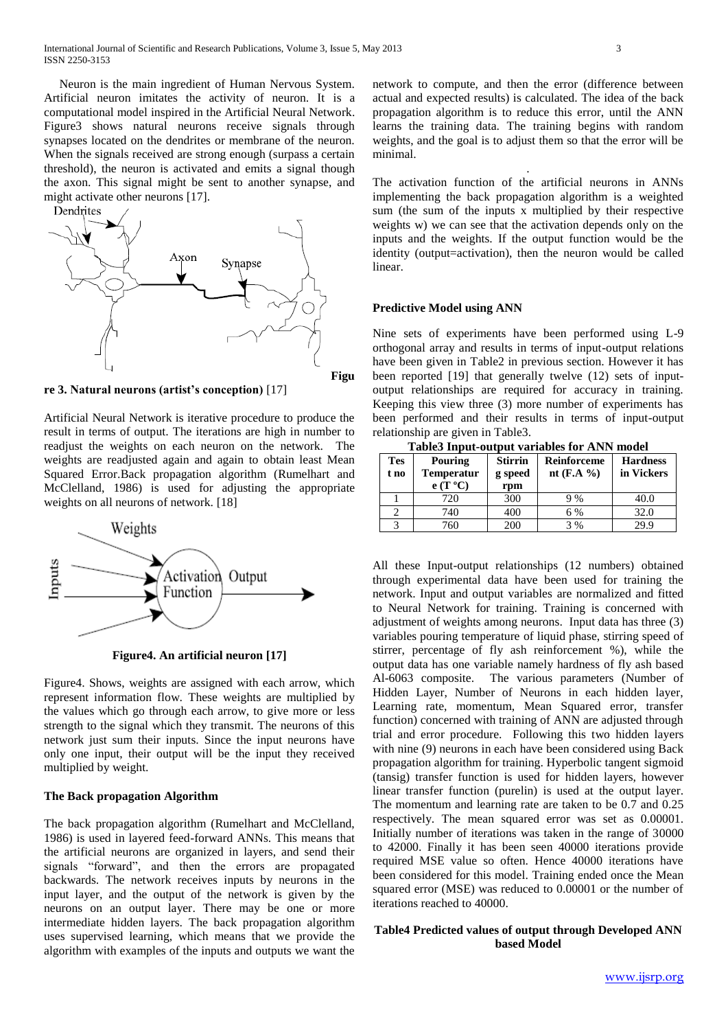Neuron is the main ingredient of Human Nervous System. Artificial neuron imitates the activity of neuron. It is a computational model inspired in the Artificial Neural Network. Figure3 shows natural neurons receive signals through synapses located on the dendrites or membrane of the neuron. When the signals received are strong enough (surpass a certain threshold), the neuron is activated and emits a signal though the axon. This signal might be sent to another synapse, and might activate other neurons [17].



**re 3. Natural neurons (artist's conception)** [17]

Artificial Neural Network is iterative procedure to produce the result in terms of output. The iterations are high in number to readjust the weights on each neuron on the network. The weights are readjusted again and again to obtain least Mean Squared Error.Back propagation algorithm (Rumelhart and McClelland, 1986) is used for adjusting the appropriate weights on all neurons of network. [18]



**Figure4. An artificial neuron [17]**

Figure4. Shows, weights are assigned with each arrow, which represent information flow. These weights are multiplied by the values which go through each arrow, to give more or less strength to the signal which they transmit. The neurons of this network just sum their inputs. Since the input neurons have only one input, their output will be the input they received multiplied by weight.

### **The Back propagation Algorithm**

The back propagation algorithm (Rumelhart and McClelland, 1986) is used in layered feed-forward ANNs. This means that the artificial neurons are organized in layers, and send their signals "forward", and then the errors are propagated backwards. The network receives inputs by neurons in the input layer, and the output of the network is given by the neurons on an output layer. There may be one or more intermediate hidden layers. The back propagation algorithm uses supervised learning, which means that we provide the algorithm with examples of the inputs and outputs we want the

network to compute, and then the error (difference between actual and expected results) is calculated. The idea of the back propagation algorithm is to reduce this error, until the ANN learns the training data. The training begins with random weights, and the goal is to adjust them so that the error will be minimal.

.

The activation function of the artificial neurons in ANNs implementing the back propagation algorithm is a weighted sum (the sum of the inputs x multiplied by their respective weights w) we can see that the activation depends only on the inputs and the weights. If the output function would be the identity (output=activation), then the neuron would be called linear.

#### **Predictive Model using ANN**

Nine sets of experiments have been performed using L-9 orthogonal array and results in terms of input-output relations have been given in Table2 in previous section. However it has been reported [19] that generally twelve (12) sets of inputoutput relationships are required for accuracy in training. Keeping this view three (3) more number of experiments has been performed and their results in terms of input-output relationship are given in Table3.

**Table3 Input-output variables for ANN model**

| <b>Tes</b><br>t no | Tubled input cutput (uriusito for the $\alpha$ mouth<br>Pouring<br><b>Temperatur</b><br>$e(T^oC)$ | <b>Stirrin</b><br>g speed<br>rpm | Reinforceme<br>nt $(F.A \%)$ | <b>Hardness</b><br>in Vickers |
|--------------------|---------------------------------------------------------------------------------------------------|----------------------------------|------------------------------|-------------------------------|
|                    | 720                                                                                               | 300                              | 9%                           | 40.0                          |
|                    | 740                                                                                               | 400                              | 6 %                          | 32.0                          |
|                    | 760                                                                                               | 200                              | 3 %                          | 29.9                          |

All these Input-output relationships (12 numbers) obtained through experimental data have been used for training the network. Input and output variables are normalized and fitted to Neural Network for training. Training is concerned with adjustment of weights among neurons. Input data has three (3) variables pouring temperature of liquid phase, stirring speed of stirrer, percentage of fly ash reinforcement %), while the output data has one variable namely hardness of fly ash based Al-6063 composite. The various parameters (Number of Hidden Layer, Number of Neurons in each hidden layer, Learning rate, momentum, Mean Squared error, transfer function) concerned with training of ANN are adjusted through trial and error procedure. Following this two hidden layers with nine (9) neurons in each have been considered using Back propagation algorithm for training. Hyperbolic tangent sigmoid (tansig) transfer function is used for hidden layers, however linear transfer function (purelin) is used at the output layer. The momentum and learning rate are taken to be 0.7 and 0.25 respectively. The mean squared error was set as 0.00001. Initially number of iterations was taken in the range of 30000 to 42000. Finally it has been seen 40000 iterations provide required MSE value so often. Hence 40000 iterations have been considered for this model. Training ended once the Mean squared error (MSE) was reduced to 0.00001 or the number of iterations reached to 40000.

# **Table4 Predicted values of output through Developed ANN based Model**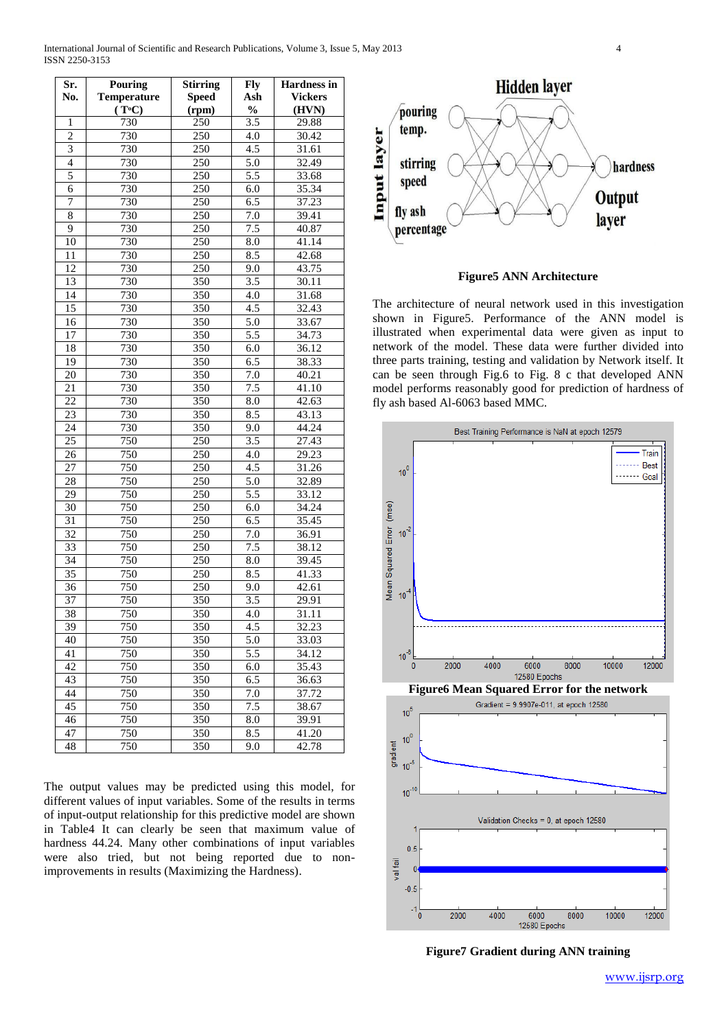| Sr.             | <b>Pouring</b>     | <b>Stirring</b>  | <b>Fly</b>       | <b>Hardness in</b> |
|-----------------|--------------------|------------------|------------------|--------------------|
| No.             | <b>Temperature</b> | <b>Speed</b>     | Ash              | <b>Vickers</b>     |
|                 | $(T^{\circ}C)$     | (rpm)            | $\frac{0}{0}$    | (HVN)              |
| 1               | 730                | 250              | 3.5              | 29.88              |
| $\overline{c}$  | 730                | 250              | 4.0              | 30.42              |
| $\overline{3}$  | 730                | $\overline{250}$ | 4.5              | 31.61              |
| $\overline{4}$  | 730                | 250              | 5.0              | 32.49              |
| 5               | 730                | $\overline{250}$ | $\overline{5.5}$ | 33.68              |
| 6               | 730                | 250              | 6.0              | 35.34              |
| 7               | 730                | 250              | 6.5              | 37.23              |
| 8               | 730                | $\overline{250}$ | 7.0              | 39.41              |
| 9               | 730                | 250              | 7.5              | 40.87              |
| 10              | 730                | $\overline{250}$ | 8.0              | 41.14              |
| 11              | 730                | 250              | 8.5              | 42.68              |
| 12              | 730                | 250              | 9.0              | 43.75              |
| 13              | 730                | 350              | 3.5              | 30.11              |
| 14              | 730                | 350              | 4.0              | 31.68              |
| 15              | 730                | 350              | 4.5              | 32.43              |
| 16              | 730                | 350              | 5.0              | 33.67              |
| 17              | 730                | 350              | 5.5              | 34.73              |
| 18              | 730                | 350              | 6.0              | 36.12              |
| 19              | 730                | 350              | 6.5              | 38.33              |
| 20              | 730                | 350              | 7.0              | 40.21              |
| 21              | 730                | 350              | 7.5              | 41.10              |
| 22              | 730                | 350              | 8.0              | 42.63              |
| 23              | 730                | 350              | 8.5              | 43.13              |
| 24              | 730                | 350              | 9.0              | 44.24              |
| 25              | 750                | 250              | 3.5              | 27.43              |
| 26              | $\overline{750}$   | $\overline{250}$ | 4.0              | 29.23              |
| 27              | 750                | 250              | 4.5              | 31.26              |
| 28              | 750                | 250              | 5.0              | 32.89              |
| 29              | 750                | 250              | 5.5              | 33.12              |
| 30              | 750                | 250              | 6.0              | 34.24              |
| $\overline{31}$ | 750                | $\overline{250}$ | 6.5              | 35.45              |
| 32              | 750                | 250              | 7.0              | 36.91              |
| 33              | 750                | 250              | 7.5              | 38.12              |
| 34              | 750                | $\overline{250}$ | 8.0              | 39.45              |
| 35              | 750                | 250              | 8.5              | 41.33              |
| 36              | 750                | 250              | 9.0              | 42.61              |
| 37              | 750                | 350              | 3.5              | 29.91              |
| 38              | 750                | 350              | 4.0              | 31.11              |
| $\overline{39}$ | 750                | 350              | 4.5              | 32.23              |
| 40              | 750                | 350              | 5.0              | 33.03              |
| 41              | 750                | 350              | 5.5              | 34.12              |
| 42              | 750                | 350              | 6.0              | 35.43              |
| 43              | 750                | 350              | 6.5              | 36.63              |
| 44              | 750                | 350              | 7.0              | 37.72              |
| 45              | 750                | 350              | 7.5              | 38.67              |
| 46              | 750                | 350              | 8.0              | 39.91              |
| 47              | 750                | 350              | 8.5              | 41.20              |
| 48              | 750                | 350              | 9.0              | 42.78              |

International Journal of Scientific and Research Publications, Volume 3, Issue 5, May 2013 4 ISSN 2250-3153

The output values may be predicted using this model, for different values of input variables. Some of the results in terms of input-output relationship for this predictive model are shown in Table4 It can clearly be seen that maximum value of hardness 44.24. Many other combinations of input variables were also tried, but not being reported due to nonimprovements in results (Maximizing the Hardness).





The architecture of neural network used in this investigation shown in Figure5. Performance of the ANN model is illustrated when experimental data were given as input to network of the model. These data were further divided into three parts training, testing and validation by Network itself. It can be seen through Fig.6 to Fig. 8 c that developed ANN model performs reasonably good for prediction of hardness of fly ash based Al-6063 based MMC.



**Figure7 Gradient during ANN training**